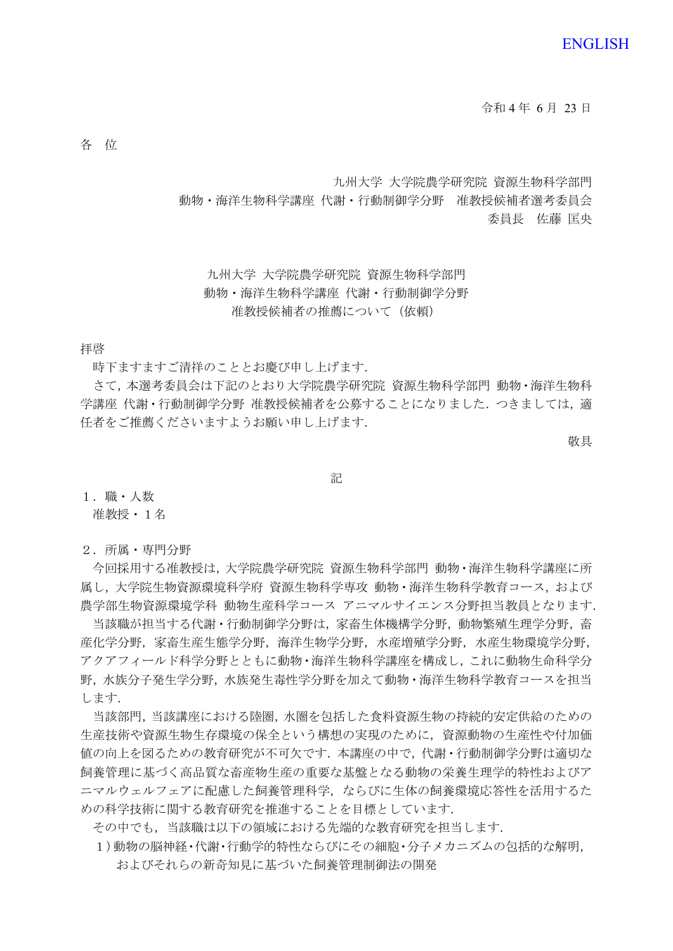令和 4 年 6 月 23 日

各 位

九州大学 大学院農学研究院 資源生物科学部門

動物・海洋生物科学講座 代謝・行動制御学分野 准教授候補者選考委員会 委員長 佐藤 匡央

九州大学 大学院農学研究院 資源生物科学部門 動物・海洋生物科学講座 代謝・行動制御学分野 准教授候補者の推薦について(依頼)

拝啓

時下ますますご清祥のこととお慶び申し上げます.

 さて,本選考委員会は下記のとおり大学院農学研究院 資源生物科学部門 動物・海洋生物科 学講座 代謝・行動制御学分野 准教授候補者を公募することになりました. つきましては, 適 任者をご推薦くださいますようお願い申し上げます.

敬具

記

1.職・人数

准教授・1名

2.所属・専門分野

今回採用する准教授は,大学院農学研究院 資源生物科学部門 動物・海洋生物科学講座に所 属し,大学院生物資源環境科学府 資源生物科学専攻 動物・海洋生物科学教育コース,および 農学部生物資源環境学科 動物生産科学コース アニマルサイエンス分野担当教員となります.

当該職が担当する代謝·行動制御学分野は、家畜生体機構学分野,動物繁殖生理学分野,畜 産化学分野,家畜生産生態学分野,海洋生物学分野,水産増殖学分野,水産生物環境学分野, アクアフィールド科学分野とともに動物・海洋生物科学講座を構成し,これに動物生命科学分 野,水族分子発生学分野,水族発生毒性学分野を加えて動物・海洋生物科学教育コースを担当 します.

当該部門,当該講座における陸圏,水圏を包括した食料資源生物の持続的安定供給のための 生産技術や資源生物生存環境の保全という構想の実現のために,資源動物の生産性や付加価 値の向上を図るための教育研究が不可欠です.本講座の中で,代謝・行動制御学分野は適切な 飼養管理に基づく高品質な畜産物生産の重要な基盤となる動物の栄養生理学的特性およびア ニマルウェルフェアに配慮した飼養管理科学,ならびに生体の飼養環境応答性を活用するた めの科学技術に関する教育研究を推進することを目標としています.

その中でも,当該職は以下の領域における先端的な教育研究を担当します.

1)動物の脳神経・代謝・行動学的特性ならびにその細胞・分子メカニズムの包括的な解明, およびそれらの新奇知見に基づいた飼養管理制御法の開発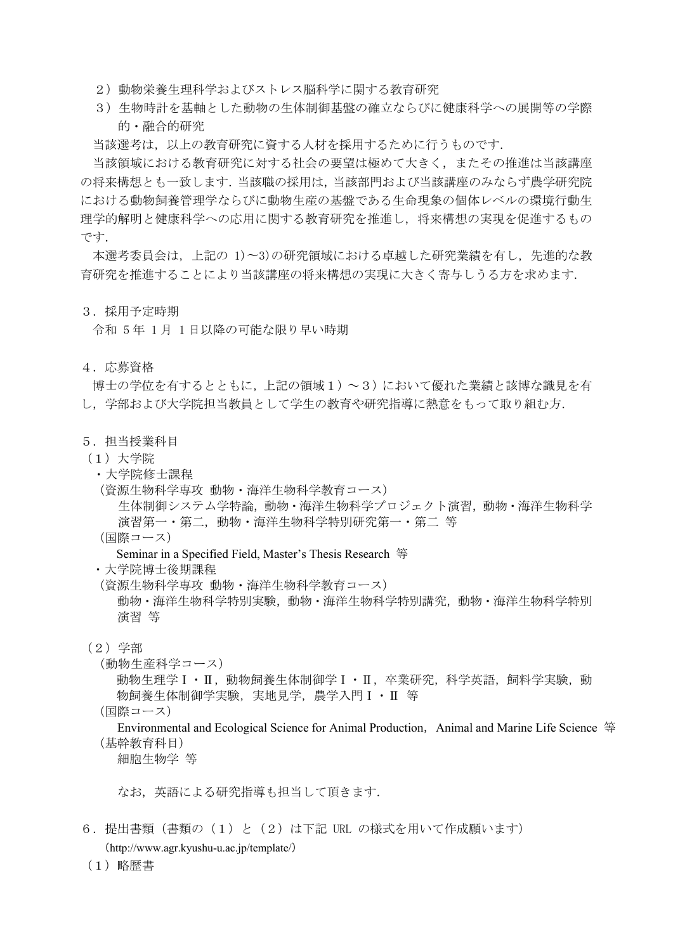- 2)動物栄養生理科学およびストレス脳科学に関する教育研究
- 3)生物時計を基軸とした動物の生体制御基盤の確立ならびに健康科学への展開等の学際 的・融合的研究

当該選考は,以上の教育研究に資する人材を採用するために行うものです.

当該領域における教育研究に対する社会の要望は極めて大きく,またその推進は当該講座 の将来構想とも一致します.当該職の採用は,当該部門および当該講座のみならず農学研究院 における動物飼養管理学ならびに動物生産の基盤である生命現象の個体レベルの環境行動生 理学的解明と健康科学への応用に関する教育研究を推進し,将来構想の実現を促進するもの です.

本選考委員会は,上記の 1)〜3)の研究領域における卓越した研究業績を有し,先進的な教 育研究を推進することにより当該講座の将来構想の実現に大きく寄与しうる方を求めます.

#### 3.採用予定時期

令和 5 年 1 月 1 日以降の可能な限り早い時期

# 4.応募資格

博士の学位を有するとともに,上記の領域1)~3)において優れた業績と該博な識見を有 し,学部および大学院担当教員として学生の教育や研究指導に熱意をもって取り組む方.

# 5.担当授業科目

- (1)大学院
	- ・大学院修士課程
	- (資源生物科学専攻 動物・海洋生物科学教育コース)

生体制御システム学特論,動物・海洋生物科学プロジェクト演習,動物・海洋生物科学 演習第一・第二,動物・海洋生物科学特別研究第一・第二 等

(国際コース)

Seminar in a Specified Field, Master's Thesis Research 等

・大学院博士後期課程

- (資源生物科学専攻 動物・海洋生物科学教育コース)
	- 動物・海洋生物科学特別実験,動物・海洋生物科学特別講究,動物・海洋生物科学特別 演習 等

(2)学部

(動物生産科学コース)

動物生理学Ⅰ・Ⅱ,動物飼養生体制御学Ⅰ・Ⅱ,卒業研究,科学英語,飼料学実験,動 物飼養生体制御学実験, 実地見学, 農学入門Ⅰ · Ⅱ 等

(国際コース)

Environmental and Ecological Science for Animal Production, Animal and Marine Life Science 等 (基幹教育科目)

細胞生物学 等

なお,英語による研究指導も担当して頂きます.

- 6.提出書類(書類の(1)と(2)は下記 URL の様式を用いて作成願います) (http://www.agr.kyushu-u.ac.jp/template/)
- (1)略歴書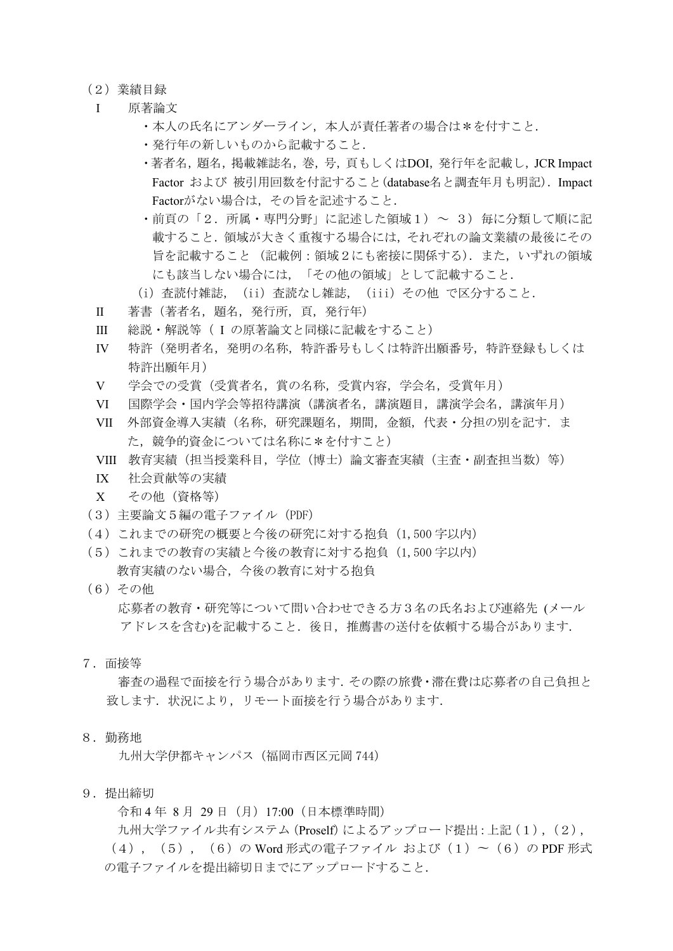# (2)業績目録

- Ⅰ 原著論文
	- ・本人の氏名にアンダーライン,本人が責任著者の場合は\*を付すこと.
	- ・発行年の新しいものから記載すること.
	- ・著者名,題名,掲載雑誌名,巻,号,頁もしくはDOI,発行年を記載し,JCR Impact Factor および 被引用回数を付記すること(database名と調査年月も明記). Impact Factorがない場合は,その旨を記述すること.
	- ・前頁の「2.所属・専門分野」に記述した領域1) ~ 3) 毎に分類して順に記 載すること.領域が大きく重複する場合には,それぞれの論文業績の最後にその 旨を記載すること (記載例:領域2にも密接に関係する).また,いずれの領域 にも該当しない場合には,「その他の領域」として記載すること.
	- (i) 査読付雑誌, (ii) 査読なし雑誌, (iii) その他 で区分すること.
- Ⅱ 著書(著者名,題名,発行所,頁,発行年)
- Ⅲ 総説・解説等( I の原著論文と同様に記載をすること)
- Ⅳ 特許(発明者名,発明の名称,特許番号もしくは特許出願番号,特許登録もしくは 特許出願年月)
- Ⅴ 学会での受賞(受賞者名,賞の名称,受賞内容,学会名,受賞年月)
- Ⅵ 国際学会・国内学会等招待講演(講演者名,講演題目,講演学会名,講演年月)
- VII 外部資金導入実績(名称,研究課題名,期間,金額,代表·分担の別を記す. ま た.競争的資金については名称に\*を付すこと)
- VIII 教育実績(担当授業科目, 学位(博士)論文審査実績(主査·副査担当数)等)
- IX 社会貢献等の実績
- X その他(資格等)
- (3)主要論文5編の電子ファイル(PDF)
- (4)これまでの研究の概要と今後の研究に対する抱負(1,500 字以内)
- (5)これまでの教育の実績と今後の教育に対する抱負(1,500 字以内) 教育実績のない場合,今後の教育に対する抱負
- (6)その他

応募者の教育・研究等について問い合わせできる方3名の氏名および連絡先 (メール アドレスを含む)を記載すること.後日,推薦書の送付を依頼する場合があります.

7.面接等

審査の過程で面接を行う場合があります.その際の旅費・滞在費は応募者の自己負担と 致します. 状況により、リモート面接を行う場合があります.

8.勤務地

九州大学伊都キャンパス(福岡市西区元岡 744)

9.提出締切

令和 4 年 8 月 29 日(月)17:00(日本標準時間)

九州大学ファイル共有システム(Proself)によるアップロード提出:上記(1),(2),  $(4)$ ,  $(5)$ ,  $(6)$  の Word 形式の電子ファイル および(1) ~  $(6)$  の PDF 形式 の電子ファイルを提出締切日までにアップロードすること.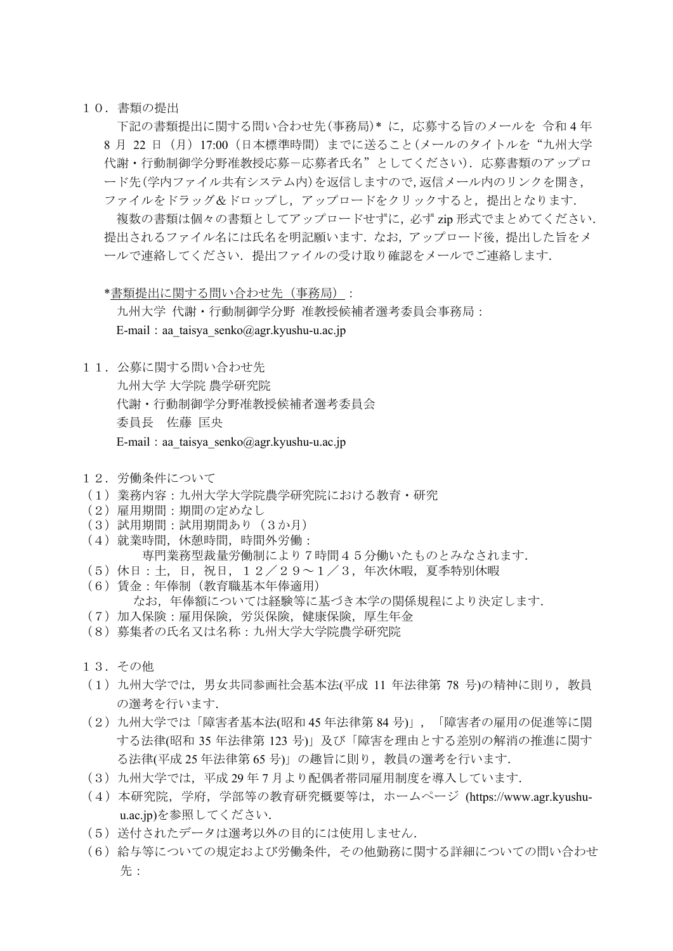## 10.書類の提出

下記の書類提出に関する問い合わせ先(事務局)\* に,応募する旨のメールを 令和 4 年 8 月 22 日(月)17:00(日本標準時間)までに送ること(メールのタイトルを"九州大学 代謝·行動制御学分野准教授応募ー応募者氏名"としてください). 応募書類のアップロ ード先(学内ファイル共有システム内)を返信しますので,返信メール内のリンクを開き, ファイルをドラッグ&ドロップし、アップロードをクリックすると、提出となります.

複数の書類は個々の書類としてアップロードせずに,必ず zip 形式でまとめてください. 提出されるファイル名には氏名を明記願います. なお、アップロード後、提出した旨をメ ールで連絡してください. 提出ファイルの受け取り確認をメールでご連絡します.

\*書類提出に関する問い合わせ先(事務局):

九州大学 代謝・行動制御学分野 准教授候補者選考委員会事務局: E-mail: aa\_taisya\_senko@agr.kyushu-u.ac.jp

11. 公募に関する問い合わせ先

九州大学 大学院 農学研究院 代謝・行動制御学分野准教授候補者選考委員会 委員長 佐藤 匡央 E-mail:aa\_taisya\_senko@agr.kyushu-u.ac.jp

- 12.労働条件について
- (1)業務内容:九州大学大学院農学研究院における教育・研究
- (2)雇用期間:期間の定めなし
- (3)試用期間:試用期間あり(3か月)
- (4)就業時間,休憩時間,時間外労働:
	- 専門業務型裁量労働制により7時間45分働いたものとみなされます.
- (5)休日:土,日,祝日,12/29~1/3,年次休暇,夏季特別休暇
- (6)賃金:年俸制(教育職基本年俸適用)
	- なお,年俸額については経験等に基づき本学の関係規程により決定します.
- (7)加入保険:雇用保険,労災保険,健康保険,厚生年金
- (8)募集者の氏名又は名称:九州大学大学院農学研究院
- 13.その他
- (1)九州大学では,男女共同参画社会基本法(平成 11 年法律第 78 号)の精神に則り,教員 の選考を行います.
- (2)九州大学では「障害者基本法(昭和 45 年法律第 84 号)」,「障害者の雇用の促進等に関 する法律(昭和 35 年法律第 123 号)」及び「障害を理由とする差別の解消の推進に関す る法律(平成 25 年法律第 65 号)」の趣旨に則り,教員の選考を行います.
- (3)九州大学では,平成 29 年 7 月より配偶者帯同雇用制度を導入しています.
- (4)本研究院,学府,学部等の教育研究概要等は,ホームページ (https://www.agr.kyushuu.ac.jp)を参照してください.
- (5)送付されたデータは選考以外の目的には使用しません.
- (6)給与等についての規定および労働条件,その他勤務に関する詳細についての問い合わせ 先: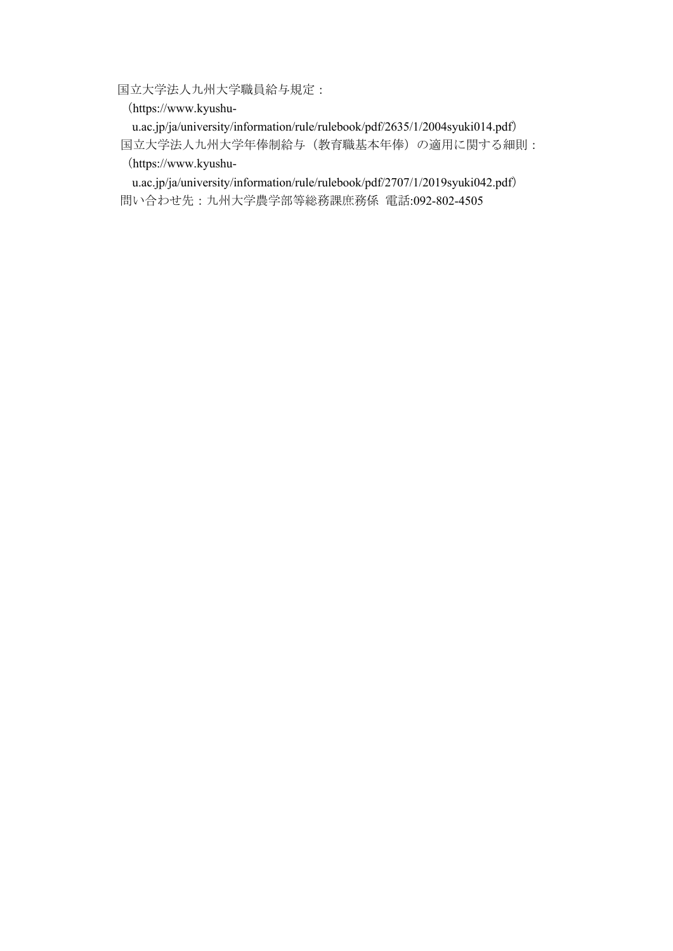国立大学法人九州大学職員給与規定:

(https://www.kyushu-

u.ac.jp/ja/university/information/rule/rulebook/pdf/2635/1/2004syuki014.pdf) 国立大学法人九州大学年俸制給与(教育職基本年俸)の適用に関する細則: (https://www.kyushu-

u.ac.jp/ja/university/information/rule/rulebook/pdf/2707/1/2019syuki042.pdf) 問い合わせ先:九州大学農学部等総務課庶務係 電話:092-802-4505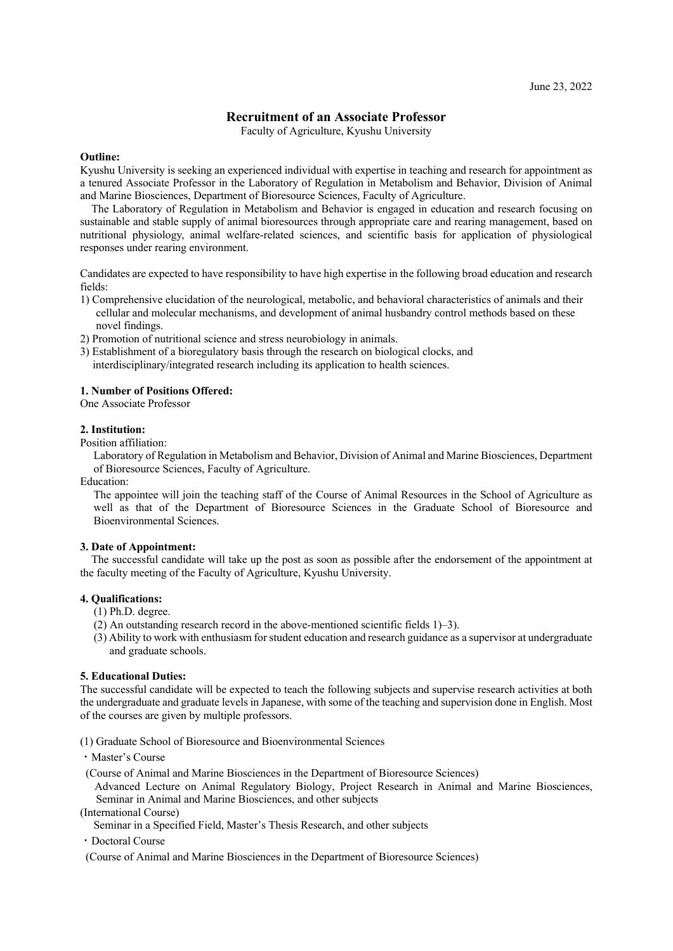# **Recruitment of an Associate Professor**

Faculty of Agriculture, Kyushu University

#### <span id="page-5-0"></span>**Outline:**

Kyushu University is seeking an experienced individual with expertise in teaching and research for appointment as a tenured Associate Professor in the Laboratory of Regulation in Metabolism and Behavior, Division of Animal and Marine Biosciences, Department of Bioresource Sciences, Faculty of Agriculture.

The Laboratory of Regulation in Metabolism and Behavior is engaged in education and research focusing on sustainable and stable supply of animal bioresources through appropriate care and rearing management, based on nutritional physiology, animal welfare-related sciences, and scientific basis for application of physiological responses under rearing environment.

Candidates are expected to have responsibility to have high expertise in the following broad education and research fields:

- 1) Comprehensive elucidation of the neurological, metabolic, and behavioral characteristics of animals and their cellular and molecular mechanisms, and development of animal husbandry control methods based on these novel findings.
- 2) Promotion of nutritional science and stress neurobiology in animals.
- 3) Establishment of a bioregulatory basis through the research on biological clocks, and interdisciplinary/integrated research including its application to health sciences.

#### **1. Number of Positions Offered:**

One Associate Professor

#### **2. Institution:**

Position affiliation:

Laboratory of Regulation in Metabolism and Behavior, Division of Animal and Marine Biosciences, Department of Bioresource Sciences, Faculty of Agriculture.

Education:

The appointee will join the teaching staff of the Course of Animal Resources in the School of Agriculture as well as that of the Department of Bioresource Sciences in the Graduate School of Bioresource and Bioenvironmental Sciences.

#### **3. Date of Appointment:**

The successful candidate will take up the post as soon as possible after the endorsement of the appointment at the faculty meeting of the Faculty of Agriculture, Kyushu University.

## **4. Qualifications:**

- (1) Ph.D. degree.
- (2) An outstanding research record in the above-mentioned scientific fields 1)–3).
- (3) Ability to work with enthusiasm for student education and research guidance as a supervisor at undergraduate and graduate schools.

## **5. Educational Duties:**

The successful candidate will be expected to teach the following subjects and supervise research activities at both the undergraduate and graduate levels in Japanese, with some of the teaching and supervision done in English. Most of the courses are given by multiple professors.

(1) Graduate School of Bioresource and Bioenvironmental Sciences

- ・Master's Course
- (Course of Animal and Marine Biosciences in the Department of Bioresource Sciences)
- Advanced Lecture on Animal Regulatory Biology, Project Research in Animal and Marine Biosciences, Seminar in Animal and Marine Biosciences, and other subjects

(International Course)

Seminar in a Specified Field, Master's Thesis Research, and other subjects

・Doctoral Course

(Course of Animal and Marine Biosciences in the Department of Bioresource Sciences)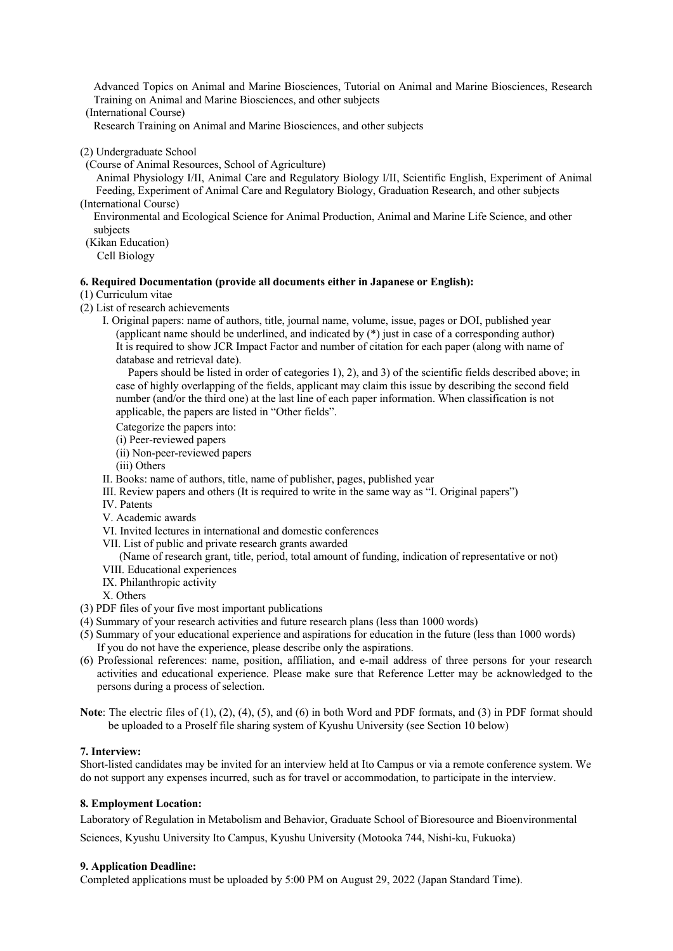Advanced Topics on Animal and Marine Biosciences, Tutorial on Animal and Marine Biosciences, Research Training on Animal and Marine Biosciences, and other subjects

(International Course)

Research Training on Animal and Marine Biosciences, and other subjects

- (2) Undergraduate School
- (Course of Animal Resources, School of Agriculture)

Animal Physiology I/II, Animal Care and Regulatory Biology I/II, Scientific English, Experiment of Animal Feeding, Experiment of Animal Care and Regulatory Biology, Graduation Research, and other subjects (International Course)

Environmental and Ecological Science for Animal Production, Animal and Marine Life Science, and other subjects

(Kikan Education)

Cell Biology

#### **6. Required Documentation (provide all documents either in Japanese or English):**

## (1) Curriculum vitae

(2) List of research achievements

I. Original papers: name of authors, title, journal name, volume, issue, pages or DOI, published year (applicant name should be underlined, and indicated by (\*) just in case of a corresponding author) It is required to show JCR Impact Factor and number of citation for each paper (along with name of database and retrieval date).

Papers should be listed in order of categories 1), 2), and 3) of the scientific fields described above; in case of highly overlapping of the fields, applicant may claim this issue by describing the second field number (and/or the third one) at the last line of each paper information. When classification is not applicable, the papers are listed in "Other fields".

Categorize the papers into:

- (i) Peer-reviewed papers
- (ii) Non-peer-reviewed papers

(iii) Others

- II. Books: name of authors, title, name of publisher, pages, published year
- III. Review papers and others (It is required to write in the same way as "I. Original papers")
- IV. Patents
- V. Academic awards
- VI. Invited lectures in international and domestic conferences
- VII. List of public and private research grants awarded

(Name of research grant, title, period, total amount of funding, indication of representative or not)

- VIII. Educational experiences
- IX. Philanthropic activity
- X. Others
- (3) PDF files of your five most important publications
- (4) Summary of your research activities and future research plans (less than 1000 words)
- (5) Summary of your educational experience and aspirations for education in the future (less than 1000 words) If you do not have the experience, please describe only the aspirations.
- (6) Professional references: name, position, affiliation, and e-mail address of three persons for your research activities and educational experience. Please make sure that Reference Letter may be acknowledged to the persons during a process of selection.

**Note**: The electric files of (1), (2), (4), (5), and (6) in both Word and PDF formats, and (3) in PDF format should be uploaded to a Proself file sharing system of Kyushu University (see Section 10 below)

# **7. Interview:**

Short-listed candidates may be invited for an interview held at Ito Campus or via a remote conference system. We do not support any expenses incurred, such as for travel or accommodation, to participate in the interview.

#### **8. Employment Location:**

Laboratory of Regulation in Metabolism and Behavior, Graduate School of Bioresource and Bioenvironmental

Sciences, Kyushu University Ito Campus, Kyushu University (Motooka 744, Nishi-ku, Fukuoka)

# **9. Application Deadline:**

Completed applications must be uploaded by 5:00 PM on August 29, 2022 (Japan Standard Time).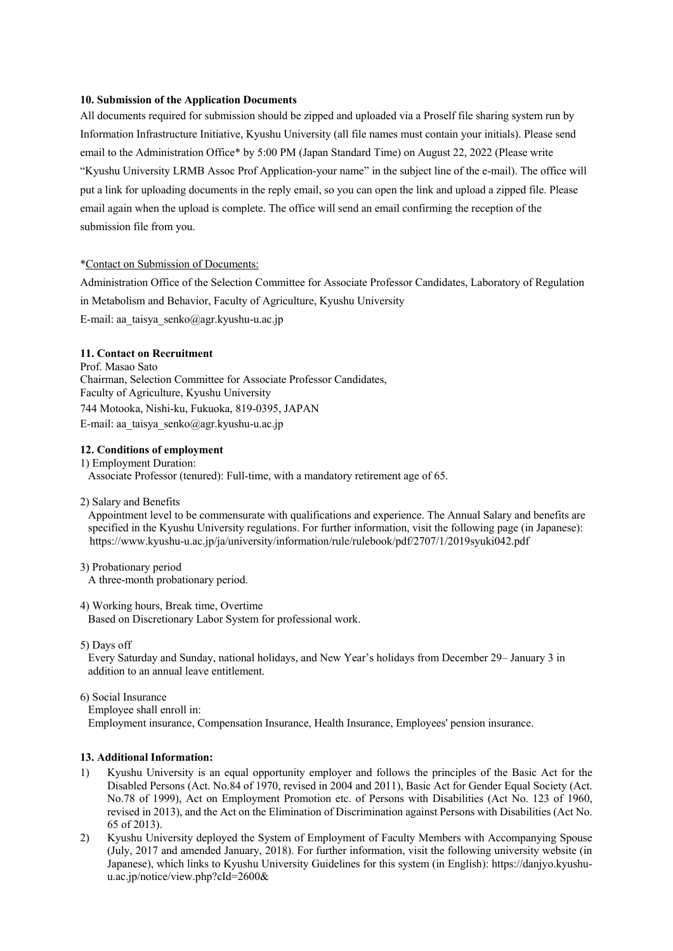# **10. Submission of the Application Documents**

All documents required for submission should be zipped and uploaded via a Proself file sharing system run by Information Infrastructure Initiative, Kyushu University (all file names must contain your initials). Please send email to the Administration Office\* by 5:00 PM (Japan Standard Time) on August 22, 2022 (Please write "Kyushu University LRMB Assoc Prof Application-your name" in the subject line of the e-mail). The office will put a link for uploading documents in the reply email, so you can open the link and upload a zipped file. Please email again when the upload is complete. The office will send an email confirming the reception of the submission file from you.

#### \*Contact on Submission of Documents:

Administration Office of the Selection Committee for Associate Professor Candidates, Laboratory of Regulation in Metabolism and Behavior, Faculty of Agriculture, Kyushu University E-mail: aa\_taisya\_senko@agr.kyushu-u.ac.jp

# **11. Contact on Recruitment**

Prof. Masao Sato Chairman, Selection Committee for Associate Professor Candidates, Faculty of Agriculture, Kyushu University 744 Motooka, Nishi-ku, Fukuoka, 819-0395, JAPAN E-mail: aa\_taisya\_senko@agr.kyushu-u.ac.jp

## **12. Conditions of employment**

- 1) Employment Duration: Associate Professor (tenured): Full-time, with a mandatory retirement age of 65.
- 2) Salary and Benefits

Appointment level to be commensurate with qualifications and experience. The Annual Salary and benefits are specified in the Kyushu University regulations. For further information, visit the following page (in Japanese): https://www.kyushu-u.ac.jp/ja/university/information/rule/rulebook/pdf/2707/1/2019syuki042.pdf

3) Probationary period

A three-month probationary period.

4) Working hours, Break time, Overtime

Based on Discretionary Labor System for professional work.

5) Days off

Every Saturday and Sunday, national holidays, and New Year's holidays from December 29– January 3 in addition to an annual leave entitlement.

6) Social Insurance

Employee shall enroll in:

Employment insurance, Compensation Insurance, Health Insurance, Employees' pension insurance.

#### **13. Additional Information:**

- 1) Kyushu University is an equal opportunity employer and follows the principles of the Basic Act for the Disabled Persons (Act. No.84 of 1970, revised in 2004 and 2011), Basic Act for Gender Equal Society (Act. No.78 of 1999), Act on Employment Promotion etc. of Persons with Disabilities (Act No. 123 of 1960, revised in 2013), and the Act on the Elimination of Discrimination against Persons with Disabilities (Act No. 65 of 2013).
- 2) Kyushu University deployed the System of Employment of Faculty Members with Accompanying Spouse (July, 2017 and amended January, 2018). For further information, visit the following university website (in Japanese), which links to Kyushu University Guidelines for this system (in English): https://danjyo.kyushuu.ac.jp/notice/view.php?cId=2600&